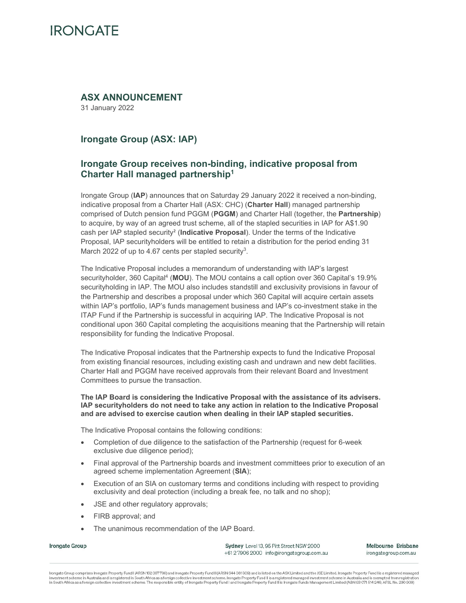# **IRONGATE**

# **ASX ANNOUNCEMENT**

31 January 2022

# **Irongate Group (ASX: IAP)**

# **Irongate Group receives non-binding, indicative proposal from Charter Hall managed partnership1**

Irongate Group (**IAP**) announces that on Saturday 29 January 2022 it received a non-binding, indicative proposal from a Charter Hall (ASX: CHC) (**Charter Hall**) managed partnership comprised of Dutch pension fund PGGM (**PGGM**) and Charter Hall (together, the **Partnership**) to acquire, by way of an agreed trust scheme, all of the stapled securities in IAP for A\$1.90 cash per IAP stapled security² (**Indicative Proposal**). Under the terms of the Indicative Proposal, IAP securityholders will be entitled to retain a distribution for the period ending 31 March 2022 of up to 4.67 cents per stapled security<sup>3</sup>.

The Indicative Proposal includes a memorandum of understanding with IAP's largest securityholder, 360 Capital4 (**MOU**). The MOU contains a call option over 360 Capital's 19.9% securityholding in IAP. The MOU also includes standstill and exclusivity provisions in favour of the Partnership and describes a proposal under which 360 Capital will acquire certain assets within IAP's portfolio, IAP's funds management business and IAP's co-investment stake in the ITAP Fund if the Partnership is successful in acquiring IAP. The Indicative Proposal is not conditional upon 360 Capital completing the acquisitions meaning that the Partnership will retain responsibility for funding the Indicative Proposal.

The Indicative Proposal indicates that the Partnership expects to fund the Indicative Proposal from existing financial resources, including existing cash and undrawn and new debt facilities. Charter Hall and PGGM have received approvals from their relevant Board and Investment Committees to pursue the transaction.

### **The IAP Board is considering the Indicative Proposal with the assistance of its advisers. IAP securityholders do not need to take any action in relation to the Indicative Proposal and are advised to exercise caution when dealing in their IAP stapled securities.**

The Indicative Proposal contains the following conditions:

- Completion of due diligence to the satisfaction of the Partnership (request for 6-week exclusive due diligence period);
- Final approval of the Partnership boards and investment committees prior to execution of an agreed scheme implementation Agreement (**SIA**);
- Execution of an SIA on customary terms and conditions including with respect to providing exclusivity and deal protection (including a break fee, no talk and no shop);
- JSE and other regulatory approvals;
- FIRB approval: and
- The unanimous recommendation of the IAP Board.

Irongate Group

Sydney Level 13, 95 Pitt Street NSW 2000 +612 7906 2000 info@irongategroup.com.au Melbourne Brisbane irongategroup.com.au

Irongate Group comprises Irongate Property Fund I (ARSN 162 067736) and Irongate Property Fund II (ARSN 644 081 309) and is listed on the ASX Limited and the JSE Limited. Irongate Property Fund I is a registered managed investment scheme in Australia and is registered in South Africa as a foreign collective investment scheme. Irongate Property Fund II is a registered managed investment scheme in Australia and is exempted from registration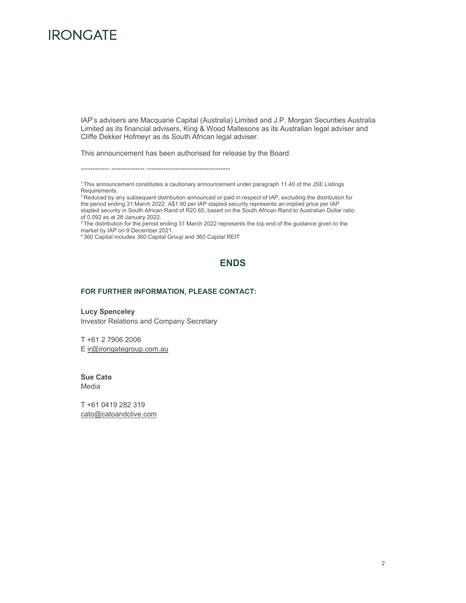# **IRONGATE**

IAP's advisers are Macquarie Capital (Australia) Limited and J.P. Morgan Securities Australia Limited as its financial advisers, King & Wood Mallesons as its Australian legal adviser and Cliffe Dekker Hofmeyr as its South African legal adviser.

This announcement has been authorised for release by the Board.

------------ -------------- -----------------------------------

<sup>1</sup> This announcement constitutes a cautionary announcement under paragraph 11.40 of the JSE Listings Requirements.

<sup>2</sup> Reduced by any subsequent distribution announced or paid in respect of IAP, excluding the distribution for the period ending 31 March 2022. A\$1.90 per IAP stapled security represents an implied price per IAP stapled security in South African Rand of R20.65, based on the South African Rand to Australian Dollar ratio of 0.092 as at 28 January 2022.

<sup>3</sup> The distribution for the period ending 31 March 2022 represents the top end of the guidance given to the market by IAP on 9 December 2021.

4 360 Capital includes 360 Capital Group and 360 Capital REIT

# **ENDS**

### **FOR FURTHER INFORMATION, PLEASE CONTACT:**

**Lucy Spenceley**  Investor Relations and Company Secretary

T +61 2 7906 2006 E ir@irongategroup.com.au

**Sue Cato**  Media

T +61 0419 282 319 cato@catoandclive.com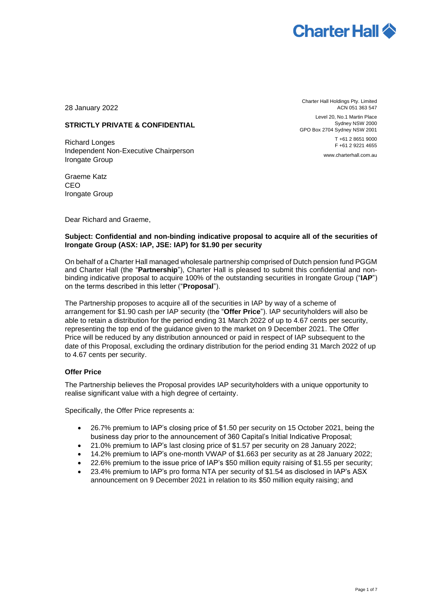

28 January 2022

# **STRICTLY PRIVATE & CONFIDENTIAL**

Richard Longes Independent Non-Executive Chairperson Irongate Group

Graeme Katz CEO Irongate Group

Dear Richard and Graeme,

Charter Hall Holdings Pty. Limited ACN 051 363 547

Level 20, No.1 Martin Place Sydney NSW 2000 GPO Box 2704 Sydney NSW 2001

> T +61 2 8651 9000 F +61 2 9221 4655 www.charterhall.com.au

### **Subject: Confidential and non-binding indicative proposal to acquire all of the securities of Irongate Group (ASX: IAP, JSE: IAP) for \$1.90 per security**

On behalf of a Charter Hall managed wholesale partnership comprised of Dutch pension fund PGGM and Charter Hall (the "**Partnership**"), Charter Hall is pleased to submit this confidential and nonbinding indicative proposal to acquire 100% of the outstanding securities in Irongate Group ("**IAP**") on the terms described in this letter ("**Proposal**").

The Partnership proposes to acquire all of the securities in IAP by way of a scheme of arrangement for \$1.90 cash per IAP security (the "**Offer Price**"). IAP securityholders will also be able to retain a distribution for the period ending 31 March 2022 of up to 4.67 cents per security, representing the top end of the guidance given to the market on 9 December 2021. The Offer Price will be reduced by any distribution announced or paid in respect of IAP subsequent to the date of this Proposal, excluding the ordinary distribution for the period ending 31 March 2022 of up to 4.67 cents per security.

### **Offer Price**

The Partnership believes the Proposal provides IAP securityholders with a unique opportunity to realise significant value with a high degree of certainty.

Specifically, the Offer Price represents a:

- 26.7% premium to IAP's closing price of \$1.50 per security on 15 October 2021, being the business day prior to the announcement of 360 Capital's Initial Indicative Proposal;
- 21.0% premium to IAP's last closing price of \$1.57 per security on 28 January 2022;
- 14.2% premium to IAP's one-month VWAP of \$1.663 per security as at 28 January 2022;
- 22.6% premium to the issue price of IAP's \$50 million equity raising of \$1.55 per security;
- 23.4% premium to IAP's pro forma NTA per security of \$1.54 as disclosed in IAP's ASX announcement on 9 December 2021 in relation to its \$50 million equity raising; and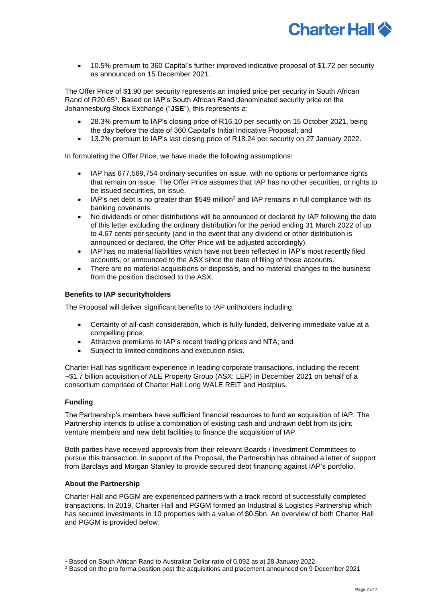

• 10.5% premium to 360 Capital's further improved indicative proposal of \$1.72 per security as announced on 15 December 2021.

The Offer Price of \$1.90 per security represents an implied price per security in South African Rand of R20.65<sup>1</sup>. Based on IAP's South African Rand denominated security price on the Johannesburg Stock Exchange ("**JSE**"), this represents a:

- 28.3% premium to IAP's closing price of R16.10 per security on 15 October 2021, being the day before the date of 360 Capital's Initial Indicative Proposal; and
- 13.2% premium to IAP's last closing price of R18.24 per security on 27 January 2022.

In formulating the Offer Price, we have made the following assumptions:

- IAP has 677,569,754 ordinary securities on issue, with no options or performance rights that remain on issue. The Offer Price assumes that IAP has no other securities, or rights to be issued securities, on issue.
- IAP's net debt is no greater than \$549 million<sup>2</sup> and IAP remains in full compliance with its banking covenants.
- No dividends or other distributions will be announced or declared by IAP following the date of this letter excluding the ordinary distribution for the period ending 31 March 2022 of up to 4.67 cents per security (and in the event that any dividend or other distribution is announced or declared, the Offer Price will be adjusted accordingly).
- IAP has no material liabilities which have not been reflected in IAP's most recently filed accounts, or announced to the ASX since the date of filing of those accounts.
- There are no material acquisitions or disposals, and no material changes to the business from the position disclosed to the ASX.

### **Benefits to IAP securityholders**

The Proposal will deliver significant benefits to IAP unitholders including:

- Certainty of all-cash consideration, which is fully funded, delivering immediate value at a compelling price;
- Attractive premiums to IAP's recent trading prices and NTA; and
- Subject to limited conditions and execution risks.

Charter Hall has significant experience in leading corporate transactions, including the recent ~\$1.7 billion acquisition of ALE Property Group (ASX: LEP) in December 2021 on behalf of a consortium comprised of Charter Hall Long WALE REIT and Hostplus.

### **Funding**

The Partnership's members have sufficient financial resources to fund an acquisition of IAP. The Partnership intends to utilise a combination of existing cash and undrawn debt from its joint venture members and new debt facilities to finance the acquisition of IAP.

Both parties have received approvals from their relevant Boards / Investment Committees to pursue this transaction. In support of the Proposal, the Partnership has obtained a letter of support from Barclays and Morgan Stanley to provide secured debt financing against IAP's portfolio.

### **About the Partnership**

Charter Hall and PGGM are experienced partners with a track record of successfully completed transactions. In 2019, Charter Hall and PGGM formed an Industrial & Logistics Partnership which has secured investments in 10 properties with a value of \$0.5bn. An overview of both Charter Hall and PGGM is provided below.

<sup>1</sup> Based on South African Rand to Australian Dollar ratio of 0.092 as at 28 January 2022.

<sup>2</sup> Based on the pro forma position post the acquisitions and placement announced on 9 December 2021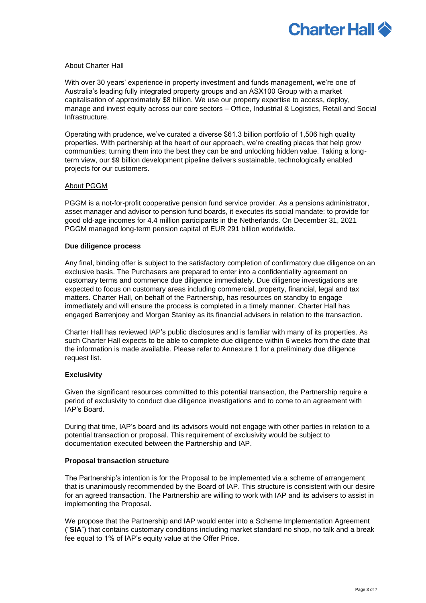

### About Charter Hall

With over 30 years' experience in property investment and funds management, we're one of Australia's leading fully integrated property groups and an ASX100 Group with a market capitalisation of approximately \$8 billion. We use our property expertise to access, deploy, manage and invest equity across our core sectors – Office, Industrial & Logistics, Retail and Social Infrastructure.

Operating with prudence, we've curated a diverse \$61.3 billion portfolio of 1,506 high quality properties. With partnership at the heart of our approach, we're creating places that help grow communities; turning them into the best they can be and unlocking hidden value. Taking a longterm view, our \$9 billion development pipeline delivers sustainable, technologically enabled projects for our customers.

### About PGGM

PGGM is a not-for-profit cooperative pension fund service provider. As a pensions administrator, asset manager and advisor to pension fund boards, it executes its social mandate: to provide for good old-age incomes for 4.4 million participants in the Netherlands. On December 31, 2021 PGGM managed long-term pension capital of EUR 291 billion worldwide.

### **Due diligence process**

Any final, binding offer is subject to the satisfactory completion of confirmatory due diligence on an exclusive basis. The Purchasers are prepared to enter into a confidentiality agreement on customary terms and commence due diligence immediately. Due diligence investigations are expected to focus on customary areas including commercial, property, financial, legal and tax matters. Charter Hall, on behalf of the Partnership, has resources on standby to engage immediately and will ensure the process is completed in a timely manner. Charter Hall has engaged Barrenjoey and Morgan Stanley as its financial advisers in relation to the transaction.

Charter Hall has reviewed IAP's public disclosures and is familiar with many of its properties. As such Charter Hall expects to be able to complete due diligence within 6 weeks from the date that the information is made available. Please refer to Annexure 1 for a preliminary due diligence request list.

### **Exclusivity**

Given the significant resources committed to this potential transaction, the Partnership require a period of exclusivity to conduct due diligence investigations and to come to an agreement with IAP's Board.

During that time, IAP's board and its advisors would not engage with other parties in relation to a potential transaction or proposal. This requirement of exclusivity would be subject to documentation executed between the Partnership and IAP.

### **Proposal transaction structure**

The Partnership's intention is for the Proposal to be implemented via a scheme of arrangement that is unanimously recommended by the Board of IAP. This structure is consistent with our desire for an agreed transaction. The Partnership are willing to work with IAP and its advisers to assist in implementing the Proposal.

We propose that the Partnership and IAP would enter into a Scheme Implementation Agreement ("**SIA**") that contains customary conditions including market standard no shop, no talk and a break fee equal to 1% of IAP's equity value at the Offer Price.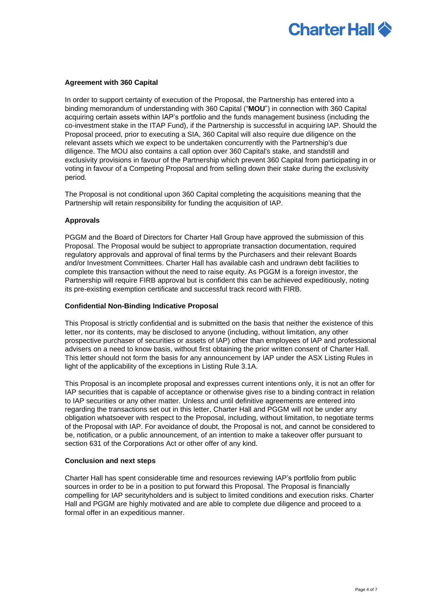

### **Agreement with 360 Capital**

In order to support certainty of execution of the Proposal, the Partnership has entered into a binding memorandum of understanding with 360 Capital ("**MOU**") in connection with 360 Capital acquiring certain assets within IAP's portfolio and the funds management business (including the co-investment stake in the ITAP Fund), if the Partnership is successful in acquiring IAP. Should the Proposal proceed, prior to executing a SIA, 360 Capital will also require due diligence on the relevant assets which we expect to be undertaken concurrently with the Partnership's due diligence. The MOU also contains a call option over 360 Capital's stake, and standstill and exclusivity provisions in favour of the Partnership which prevent 360 Capital from participating in or voting in favour of a Competing Proposal and from selling down their stake during the exclusivity period.

The Proposal is not conditional upon 360 Capital completing the acquisitions meaning that the Partnership will retain responsibility for funding the acquisition of IAP.

### **Approvals**

PGGM and the Board of Directors for Charter Hall Group have approved the submission of this Proposal. The Proposal would be subject to appropriate transaction documentation, required regulatory approvals and approval of final terms by the Purchasers and their relevant Boards and/or Investment Committees. Charter Hall has available cash and undrawn debt facilities to complete this transaction without the need to raise equity. As PGGM is a foreign investor, the Partnership will require FIRB approval but is confident this can be achieved expeditiously, noting its pre-existing exemption certificate and successful track record with FIRB.

### **Confidential Non-Binding Indicative Proposal**

This Proposal is strictly confidential and is submitted on the basis that neither the existence of this letter, nor its contents, may be disclosed to anyone (including, without limitation, any other prospective purchaser of securities or assets of IAP) other than employees of IAP and professional advisers on a need to know basis, without first obtaining the prior written consent of Charter Hall. This letter should not form the basis for any announcement by IAP under the ASX Listing Rules in light of the applicability of the exceptions in Listing Rule 3.1A.

This Proposal is an incomplete proposal and expresses current intentions only, it is not an offer for IAP securities that is capable of acceptance or otherwise gives rise to a binding contract in relation to IAP securities or any other matter. Unless and until definitive agreements are entered into regarding the transactions set out in this letter, Charter Hall and PGGM will not be under any obligation whatsoever with respect to the Proposal, including, without limitation, to negotiate terms of the Proposal with IAP. For avoidance of doubt, the Proposal is not, and cannot be considered to be, notification, or a public announcement, of an intention to make a takeover offer pursuant to section 631 of the Corporations Act or other offer of any kind.

### **Conclusion and next steps**

Charter Hall has spent considerable time and resources reviewing IAP's portfolio from public sources in order to be in a position to put forward this Proposal. The Proposal is financially compelling for IAP securityholders and is subject to limited conditions and execution risks. Charter Hall and PGGM are highly motivated and are able to complete due diligence and proceed to a formal offer in an expeditious manner.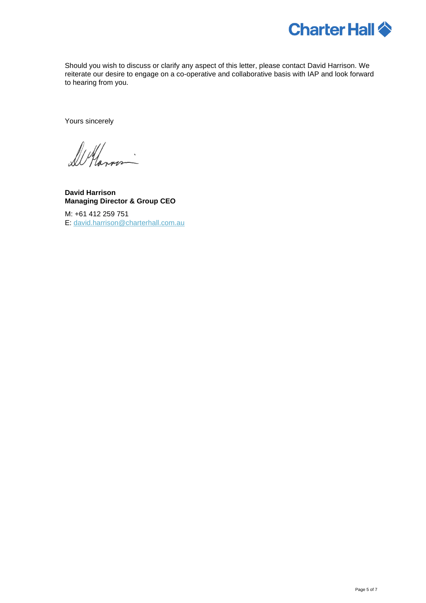

Should you wish to discuss or clarify any aspect of this letter, please contact David Harrison. We reiterate our desire to engage on a co-operative and collaborative basis with IAP and look forward to hearing from you.

Yours sincerely

De Havno

**David Harrison Managing Director & Group CEO**

M: +61 412 259 751 E: [david.harrison@charterhall.com.au](mailto:david.harrison@charterhall.com.au)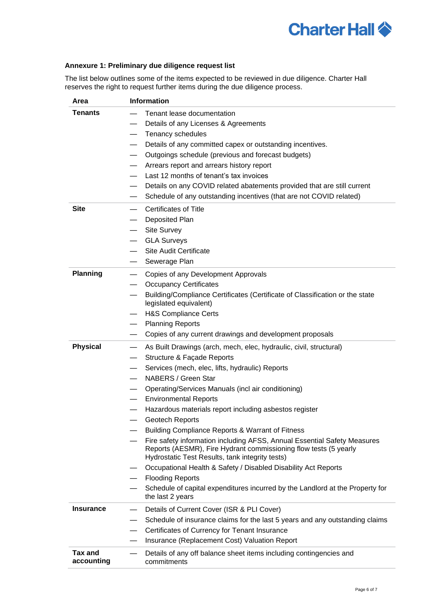# **Charter Hall**  $\diamondsuit$

## **Annexure 1: Preliminary due diligence request list**

The list below outlines some of the items expected to be reviewed in due diligence. Charter Hall reserves the right to request further items during the due diligence process.

| Area                         | <b>Information</b>                                                                                                                                                                              |
|------------------------------|-------------------------------------------------------------------------------------------------------------------------------------------------------------------------------------------------|
| <b>Tenants</b>               | Tenant lease documentation                                                                                                                                                                      |
|                              | Details of any Licenses & Agreements                                                                                                                                                            |
|                              | Tenancy schedules                                                                                                                                                                               |
|                              | Details of any committed capex or outstanding incentives.                                                                                                                                       |
|                              | Outgoings schedule (previous and forecast budgets)                                                                                                                                              |
|                              | Arrears report and arrears history report                                                                                                                                                       |
|                              | Last 12 months of tenant's tax invoices                                                                                                                                                         |
|                              | Details on any COVID related abatements provided that are still current<br>$\hspace{0.05cm}$                                                                                                    |
|                              | Schedule of any outstanding incentives (that are not COVID related)                                                                                                                             |
| <b>Site</b>                  | <b>Certificates of Title</b>                                                                                                                                                                    |
|                              | Deposited Plan                                                                                                                                                                                  |
|                              | <b>Site Survey</b>                                                                                                                                                                              |
|                              | <b>GLA Surveys</b>                                                                                                                                                                              |
|                              | <b>Site Audit Certificate</b>                                                                                                                                                                   |
|                              | Sewerage Plan                                                                                                                                                                                   |
| <b>Planning</b>              | Copies of any Development Approvals                                                                                                                                                             |
|                              | <b>Occupancy Certificates</b>                                                                                                                                                                   |
|                              | Building/Compliance Certificates (Certificate of Classification or the state<br>legislated equivalent)                                                                                          |
|                              | <b>H&amp;S Compliance Certs</b>                                                                                                                                                                 |
|                              | <b>Planning Reports</b>                                                                                                                                                                         |
|                              | Copies of any current drawings and development proposals                                                                                                                                        |
| <b>Physical</b>              | As Built Drawings (arch, mech, elec, hydraulic, civil, structural)                                                                                                                              |
|                              | Structure & Façade Reports                                                                                                                                                                      |
|                              | Services (mech, elec, lifts, hydraulic) Reports                                                                                                                                                 |
|                              | NABERS / Green Star                                                                                                                                                                             |
|                              | Operating/Services Manuals (incl air conditioning)                                                                                                                                              |
|                              | <b>Environmental Reports</b>                                                                                                                                                                    |
|                              | Hazardous materials report including asbestos register                                                                                                                                          |
|                              | Geotech Reports                                                                                                                                                                                 |
|                              | Building Compliance Reports & Warrant of Fitness                                                                                                                                                |
|                              | Fire safety information including AFSS, Annual Essential Safety Measures<br>Reports (AESMR), Fire Hydrant commissioning flow tests (5 yearly<br>Hydrostatic Test Results, tank integrity tests) |
|                              | Occupational Health & Safety / Disabled Disability Act Reports                                                                                                                                  |
|                              | <b>Flooding Reports</b>                                                                                                                                                                         |
|                              | Schedule of capital expenditures incurred by the Landlord at the Property for<br>the last 2 years                                                                                               |
| <b>Insurance</b>             | Details of Current Cover (ISR & PLI Cover)                                                                                                                                                      |
|                              | Schedule of insurance claims for the last 5 years and any outstanding claims                                                                                                                    |
|                              | Certificates of Currency for Tenant Insurance                                                                                                                                                   |
|                              | Insurance (Replacement Cost) Valuation Report                                                                                                                                                   |
| <b>Tax and</b><br>accounting | Details of any off balance sheet items including contingencies and<br>commitments                                                                                                               |
|                              |                                                                                                                                                                                                 |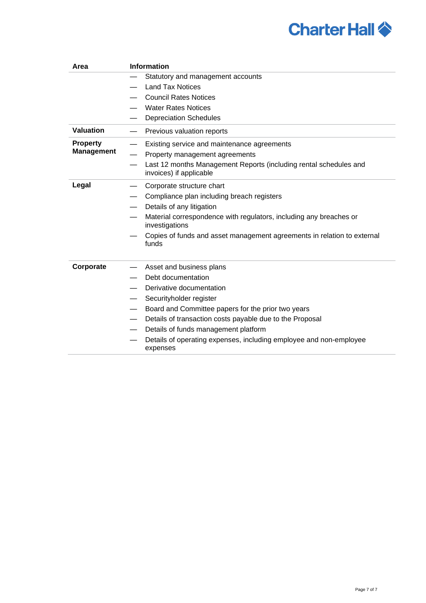# **Charter Hall**  $\diamondsuit$

| Area                                 | <b>Information</b>                                                                           |  |  |  |
|--------------------------------------|----------------------------------------------------------------------------------------------|--|--|--|
|                                      | Statutory and management accounts                                                            |  |  |  |
|                                      | <b>Land Tax Notices</b>                                                                      |  |  |  |
|                                      | <b>Council Rates Notices</b>                                                                 |  |  |  |
|                                      | <b>Water Rates Notices</b>                                                                   |  |  |  |
|                                      | <b>Depreciation Schedules</b>                                                                |  |  |  |
| <b>Valuation</b>                     | Previous valuation reports                                                                   |  |  |  |
| <b>Property</b><br><b>Management</b> | Existing service and maintenance agreements                                                  |  |  |  |
|                                      | Property management agreements                                                               |  |  |  |
|                                      | Last 12 months Management Reports (including rental schedules and<br>invoices) if applicable |  |  |  |
| Legal                                | Corporate structure chart                                                                    |  |  |  |
|                                      | Compliance plan including breach registers                                                   |  |  |  |
|                                      | Details of any litigation                                                                    |  |  |  |
|                                      | Material correspondence with regulators, including any breaches or<br>investigations         |  |  |  |
|                                      | Copies of funds and asset management agreements in relation to external<br>funds             |  |  |  |
| Corporate                            | Asset and business plans                                                                     |  |  |  |
|                                      | Debt documentation                                                                           |  |  |  |
|                                      | Derivative documentation                                                                     |  |  |  |
|                                      | Securityholder register                                                                      |  |  |  |
|                                      | Board and Committee papers for the prior two years                                           |  |  |  |
|                                      | Details of transaction costs payable due to the Proposal                                     |  |  |  |
|                                      | Details of funds management platform                                                         |  |  |  |
|                                      | Details of operating expenses, including employee and non-employee<br>expenses               |  |  |  |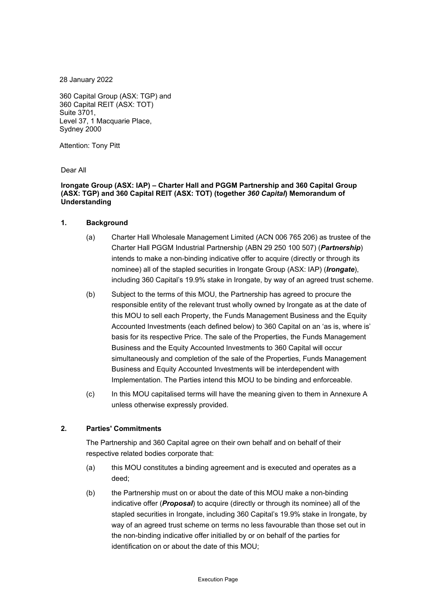28 January 2022

360 Capital Group (ASX: TGP) and 360 Capital REIT (ASX: TOT) Suite 3701, Level 37, 1 Macquarie Place, Sydney 2000

Attention: Tony Pitt

Dear All

### **Irongate Group (ASX: IAP) – Charter Hall and PGGM Partnership and 360 Capital Group (ASX: TGP) and 360 Capital REIT (ASX: TOT) (together** *360 Capital***) Memorandum of Understanding**

### **1. Background**

- (a) Charter Hall Wholesale Management Limited (ACN 006 765 206) as trustee of the Charter Hall PGGM Industrial Partnership (ABN 29 250 100 507) (*Partnership*) intends to make a non-binding indicative offer to acquire (directly or through its nominee) all of the stapled securities in Irongate Group (ASX: IAP) (*Irongate*), including 360 Capital's 19.9% stake in Irongate, by way of an agreed trust scheme.
- (b) Subject to the terms of this MOU, the Partnership has agreed to procure the responsible entity of the relevant trust wholly owned by Irongate as at the date of this MOU to sell each Property, the Funds Management Business and the Equity Accounted Investments (each defined below) to 360 Capital on an 'as is, where is' basis for its respective Price. The sale of the Properties, the Funds Management Business and the Equity Accounted Investments to 360 Capital will occur simultaneously and completion of the sale of the Properties, Funds Management Business and Equity Accounted Investments will be interdependent with Implementation. The Parties intend this MOU to be binding and enforceable.
- (c) In this MOU capitalised terms will have the meaning given to them in Annexure A unless otherwise expressly provided.

### **2. Parties' Commitments**

The Partnership and 360 Capital agree on their own behalf and on behalf of their respective related bodies corporate that:

- (a) this MOU constitutes a binding agreement and is executed and operates as a deed;
- (b) the Partnership must on or about the date of this MOU make a non-binding indicative offer (*Proposal*) to acquire (directly or through its nominee) all of the stapled securities in Irongate, including 360 Capital's 19.9% stake in Irongate, by way of an agreed trust scheme on terms no less favourable than those set out in the non-binding indicative offer initialled by or on behalf of the parties for identification on or about the date of this MOU;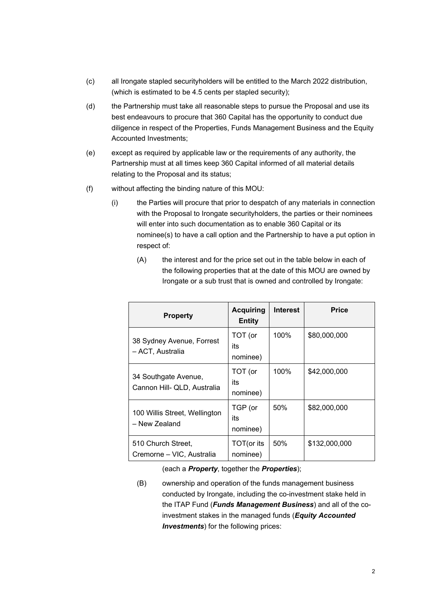- (c) all Irongate stapled securityholders will be entitled to the March 2022 distribution, (which is estimated to be 4.5 cents per stapled security);
- (d) the Partnership must take all reasonable steps to pursue the Proposal and use its best endeavours to procure that 360 Capital has the opportunity to conduct due diligence in respect of the Properties, Funds Management Business and the Equity Accounted Investments;
- (e) except as required by applicable law or the requirements of any authority, the Partnership must at all times keep 360 Capital informed of all material details relating to the Proposal and its status;
- (f) without affecting the binding nature of this MOU:
	- (i) the Parties will procure that prior to despatch of any materials in connection with the Proposal to Irongate securityholders, the parties or their nominees will enter into such documentation as to enable 360 Capital or its nominee(s) to have a call option and the Partnership to have a put option in respect of:
		- (A) the interest and for the price set out in the table below in each of the following properties that at the date of this MOU are owned by Irongate or a sub trust that is owned and controlled by Irongate:

| <b>Property</b>                                     | <b>Acquiring</b><br><b>Entity</b> | <b>Interest</b> | <b>Price</b>  |
|-----------------------------------------------------|-----------------------------------|-----------------|---------------|
| 38 Sydney Avenue, Forrest<br>- ACT, Australia       | TOT (or<br>its<br>nominee)        | 100%            | \$80,000,000  |
| 34 Southgate Avenue,<br>Cannon Hill- QLD, Australia | TOT (or<br>its<br>nominee)        | 100%            | \$42,000,000  |
| 100 Willis Street, Wellington<br>- New Zealand      | TGP (or<br>its<br>nominee)        | 50%             | \$82,000,000  |
| 510 Church Street,<br>Cremorne - VIC, Australia     | TOT(or its<br>nominee)            | 50%             | \$132,000,000 |

(each a *Property*, together the *Properties*);

(B) ownership and operation of the funds management business conducted by Irongate, including the co-investment stake held in the ITAP Fund (*Funds Management Business*) and all of the coinvestment stakes in the managed funds (*Equity Accounted Investments*) for the following prices: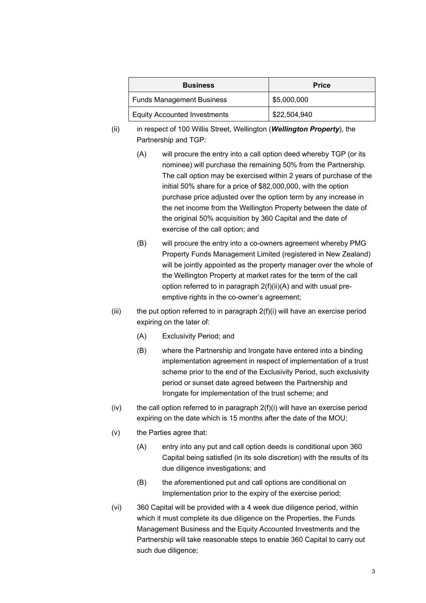| <b>Business</b>                     | <b>Price</b> |  |  |
|-------------------------------------|--------------|--|--|
| <b>Funds Management Business</b>    | \$5,000,000  |  |  |
| <b>Equity Accounted Investments</b> | \$22,504,940 |  |  |

- (ii) in respect of 100 Willis Street, Wellington (*Wellington Property*), the Partnership and TGP:
	- (A) will procure the entry into a call option deed whereby TGP (or its nominee) will purchase the remaining 50% from the Partnership. The call option may be exercised within 2 years of purchase of the initial 50% share for a price of \$82,000,000, with the option purchase price adjusted over the option term by any increase in the net income from the Wellington Property between the date of the original 50% acquisition by 360 Capital and the date of exercise of the call option; and
	- (B) will procure the entry into a co-owners agreement whereby PMG Property Funds Management Limited (registered in New Zealand) will be jointly appointed as the property manager over the whole of the Wellington Property at market rates for the term of the call option referred to in paragraph 2(f)(ii)(A) and with usual preemptive rights in the co-owner's agreement;
- (iii) the put option referred to in paragraph  $2(f)(i)$  will have an exercise period expiring on the later of:
	- (A) Exclusivity Period; and
	- (B) where the Partnership and Irongate have entered into a binding implementation agreement in respect of implementation of a trust scheme prior to the end of the Exclusivity Period, such exclusivity period or sunset date agreed between the Partnership and Irongate for implementation of the trust scheme; and
- $(iv)$  the call option referred to in paragraph  $2(f)(i)$  will have an exercise period expiring on the date which is 15 months after the date of the MOU;
- (v) the Parties agree that:
	- (A) entry into any put and call option deeds is conditional upon 360 Capital being satisfied (in its sole discretion) with the results of its due diligence investigations; and
	- (B) the aforementioned put and call options are conditional on Implementation prior to the expiry of the exercise period;
- (vi) 360 Capital will be provided with a 4 week due diligence period, within which it must complete its due diligence on the Properties, the Funds Management Business and the Equity Accounted Investments and the Partnership will take reasonable steps to enable 360 Capital to carry out such due diligence;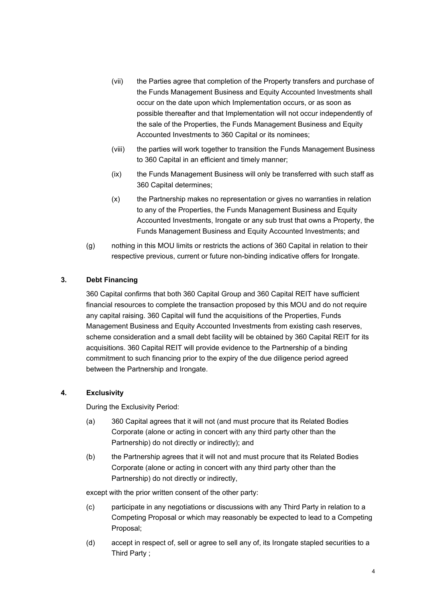- (vii) the Parties agree that completion of the Property transfers and purchase of the Funds Management Business and Equity Accounted Investments shall occur on the date upon which Implementation occurs, or as soon as possible thereafter and that Implementation will not occur independently of the sale of the Properties, the Funds Management Business and Equity Accounted Investments to 360 Capital or its nominees;
- (viii) the parties will work together to transition the Funds Management Business to 360 Capital in an efficient and timely manner;
- (ix) the Funds Management Business will only be transferred with such staff as 360 Capital determines;
- (x) the Partnership makes no representation or gives no warranties in relation to any of the Properties, the Funds Management Business and Equity Accounted Investments, Irongate or any sub trust that owns a Property, the Funds Management Business and Equity Accounted Investments; and
- (g) nothing in this MOU limits or restricts the actions of 360 Capital in relation to their respective previous, current or future non-binding indicative offers for Irongate.

# **3. Debt Financing**

360 Capital confirms that both 360 Capital Group and 360 Capital REIT have sufficient financial resources to complete the transaction proposed by this MOU and do not require any capital raising. 360 Capital will fund the acquisitions of the Properties, Funds Management Business and Equity Accounted Investments from existing cash reserves, scheme consideration and a small debt facility will be obtained by 360 Capital REIT for its acquisitions. 360 Capital REIT will provide evidence to the Partnership of a binding commitment to such financing prior to the expiry of the due diligence period agreed between the Partnership and Irongate.

### **4. Exclusivity**

During the Exclusivity Period:

- (a) 360 Capital agrees that it will not (and must procure that its Related Bodies Corporate (alone or acting in concert with any third party other than the Partnership) do not directly or indirectly); and
- (b) the Partnership agrees that it will not and must procure that its Related Bodies Corporate (alone or acting in concert with any third party other than the Partnership) do not directly or indirectly,

except with the prior written consent of the other party:

- (c) participate in any negotiations or discussions with any Third Party in relation to a Competing Proposal or which may reasonably be expected to lead to a Competing Proposal;
- (d) accept in respect of, sell or agree to sell any of, its Irongate stapled securities to a Third Party ;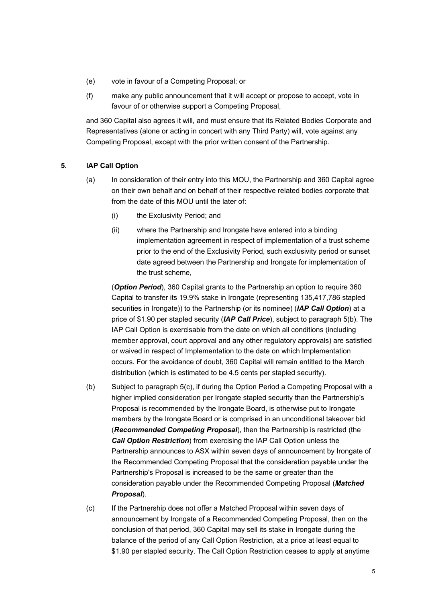- (e) vote in favour of a Competing Proposal; or
- (f) make any public announcement that it will accept or propose to accept, vote in favour of or otherwise support a Competing Proposal,

and 360 Capital also agrees it will, and must ensure that its Related Bodies Corporate and Representatives (alone or acting in concert with any Third Party) will, vote against any Competing Proposal, except with the prior written consent of the Partnership.

## **5. IAP Call Option**

- (a) In consideration of their entry into this MOU, the Partnership and 360 Capital agree on their own behalf and on behalf of their respective related bodies corporate that from the date of this MOU until the later of:
	- (i) the Exclusivity Period; and
	- (ii) where the Partnership and Irongate have entered into a binding implementation agreement in respect of implementation of a trust scheme prior to the end of the Exclusivity Period, such exclusivity period or sunset date agreed between the Partnership and Irongate for implementation of the trust scheme,

(*Option Period*), 360 Capital grants to the Partnership an option to require 360 Capital to transfer its 19.9% stake in Irongate (representing 135,417,786 stapled securities in Irongate)) to the Partnership (or its nominee) (*IAP Call Option*) at a price of \$1.90 per stapled security (*IAP Call Price*), subject to paragraph 5(b). The IAP Call Option is exercisable from the date on which all conditions (including member approval, court approval and any other regulatory approvals) are satisfied or waived in respect of Implementation to the date on which Implementation occurs. For the avoidance of doubt, 360 Capital will remain entitled to the March distribution (which is estimated to be 4.5 cents per stapled security).

- (b) Subject to paragraph 5(c), if during the Option Period a Competing Proposal with a higher implied consideration per Irongate stapled security than the Partnership's Proposal is recommended by the Irongate Board, is otherwise put to Irongate members by the Irongate Board or is comprised in an unconditional takeover bid (*Recommended Competing Proposal*), then the Partnership is restricted (the *Call Option Restriction*) from exercising the IAP Call Option unless the Partnership announces to ASX within seven days of announcement by Irongate of the Recommended Competing Proposal that the consideration payable under the Partnership's Proposal is increased to be the same or greater than the consideration payable under the Recommended Competing Proposal (*Matched Proposal*).
- (c) If the Partnership does not offer a Matched Proposal within seven days of announcement by Irongate of a Recommended Competing Proposal, then on the conclusion of that period, 360 Capital may sell its stake in Irongate during the balance of the period of any Call Option Restriction, at a price at least equal to \$1.90 per stapled security. The Call Option Restriction ceases to apply at anytime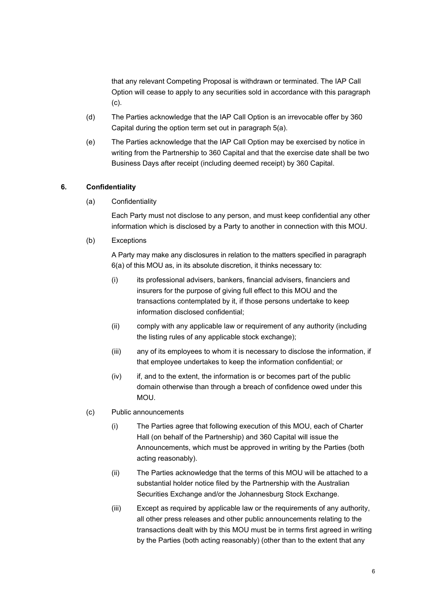that any relevant Competing Proposal is withdrawn or terminated. The IAP Call Option will cease to apply to any securities sold in accordance with this paragraph (c).

- (d) The Parties acknowledge that the IAP Call Option is an irrevocable offer by 360 Capital during the option term set out in paragraph 5(a).
- (e) The Parties acknowledge that the IAP Call Option may be exercised by notice in writing from the Partnership to 360 Capital and that the exercise date shall be two Business Days after receipt (including deemed receipt) by 360 Capital.

### **6. Confidentiality**

(a) Confidentiality

Each Party must not disclose to any person, and must keep confidential any other information which is disclosed by a Party to another in connection with this MOU.

(b) Exceptions

A Party may make any disclosures in relation to the matters specified in paragraph 6(a) of this MOU as, in its absolute discretion, it thinks necessary to:

- (i) its professional advisers, bankers, financial advisers, financiers and insurers for the purpose of giving full effect to this MOU and the transactions contemplated by it, if those persons undertake to keep information disclosed confidential;
- (ii) comply with any applicable law or requirement of any authority (including the listing rules of any applicable stock exchange);
- (iii) any of its employees to whom it is necessary to disclose the information, if that employee undertakes to keep the information confidential; or
- $(iv)$  if, and to the extent, the information is or becomes part of the public domain otherwise than through a breach of confidence owed under this MOU.
- (c) Public announcements
	- (i) The Parties agree that following execution of this MOU, each of Charter Hall (on behalf of the Partnership) and 360 Capital will issue the Announcements, which must be approved in writing by the Parties (both acting reasonably).
	- (ii) The Parties acknowledge that the terms of this MOU will be attached to a substantial holder notice filed by the Partnership with the Australian Securities Exchange and/or the Johannesburg Stock Exchange.
	- (iii) Except as required by applicable law or the requirements of any authority, all other press releases and other public announcements relating to the transactions dealt with by this MOU must be in terms first agreed in writing by the Parties (both acting reasonably) (other than to the extent that any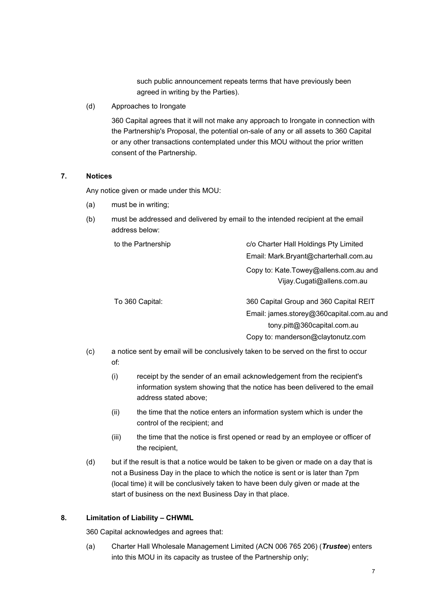such public announcement repeats terms that have previously been agreed in writing by the Parties).

(d) Approaches to Irongate

360 Capital agrees that it will not make any approach to Irongate in connection with the Partnership's Proposal, the potential on-sale of any or all assets to 360 Capital or any other transactions contemplated under this MOU without the prior written consent of the Partnership.

# **7. Notices**

Any notice given or made under this MOU:

- (a) must be in writing;
- (b) must be addressed and delivered by email to the intended recipient at the email address below:

to the Partnership c/o Charter Hall Holdings Pty Limited

Email: Mark.Bryant@charterhall.com.au

Copy to: Kate.Towey@allens.com.au and Vijay.Cugati@allens.com.au

To 360 Capital: 360 Capital Group and 360 Capital REIT Email: james.storey@360capital.com.au and

tony.pitt@360capital.com.au

Copy to: manderson@claytonutz.com

- (c) a notice sent by email will be conclusively taken to be served on the first to occur of:
	- (i) receipt by the sender of an email acknowledgement from the recipient's information system showing that the notice has been delivered to the email address stated above;
	- (ii) the time that the notice enters an information system which is under the control of the recipient; and
	- (iii) the time that the notice is first opened or read by an employee or officer of the recipient,
- (d) but if the result is that a notice would be taken to be given or made on a day that is not a Business Day in the place to which the notice is sent or is later than 7pm (local time) it will be conclusively taken to have been duly given or made at the start of business on the next Business Day in that place.

# **8. Limitation of Liability – CHWML**

360 Capital acknowledges and agrees that:

(a) Charter Hall Wholesale Management Limited (ACN 006 765 206) (*Trustee*) enters into this MOU in its capacity as trustee of the Partnership only;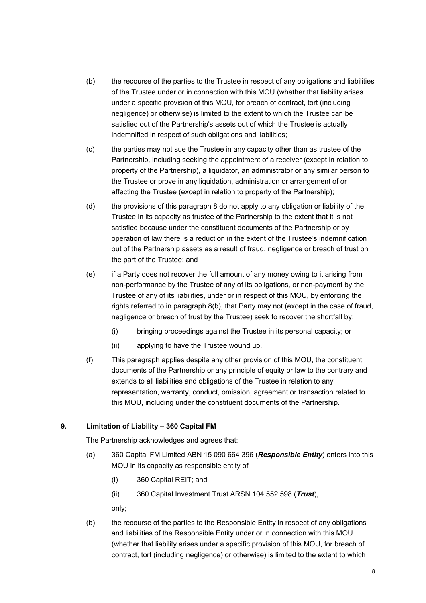- (b) the recourse of the parties to the Trustee in respect of any obligations and liabilities of the Trustee under or in connection with this MOU (whether that liability arises under a specific provision of this MOU, for breach of contract, tort (including negligence) or otherwise) is limited to the extent to which the Trustee can be satisfied out of the Partnership's assets out of which the Trustee is actually indemnified in respect of such obligations and liabilities;
- (c) the parties may not sue the Trustee in any capacity other than as trustee of the Partnership, including seeking the appointment of a receiver (except in relation to property of the Partnership), a liquidator, an administrator or any similar person to the Trustee or prove in any liquidation, administration or arrangement of or affecting the Trustee (except in relation to property of the Partnership);
- (d) the provisions of this paragraph 8 do not apply to any obligation or liability of the Trustee in its capacity as trustee of the Partnership to the extent that it is not satisfied because under the constituent documents of the Partnership or by operation of law there is a reduction in the extent of the Trustee's indemnification out of the Partnership assets as a result of fraud, negligence or breach of trust on the part of the Trustee; and
- (e) if a Party does not recover the full amount of any money owing to it arising from non-performance by the Trustee of any of its obligations, or non-payment by the Trustee of any of its liabilities, under or in respect of this MOU, by enforcing the rights referred to in paragraph 8(b), that Party may not (except in the case of fraud, negligence or breach of trust by the Trustee) seek to recover the shortfall by:
	- (i) bringing proceedings against the Trustee in its personal capacity; or
	- (ii) applying to have the Trustee wound up.
- (f) This paragraph applies despite any other provision of this MOU, the constituent documents of the Partnership or any principle of equity or law to the contrary and extends to all liabilities and obligations of the Trustee in relation to any representation, warranty, conduct, omission, agreement or transaction related to this MOU, including under the constituent documents of the Partnership.

# **9. Limitation of Liability – 360 Capital FM**

The Partnership acknowledges and agrees that:

- (a) 360 Capital FM Limited ABN 15 090 664 396 (*Responsible Entity*) enters into this MOU in its capacity as responsible entity of
	- (i) 360 Capital REIT; and
	- (ii) 360 Capital Investment Trust ARSN 104 552 598 (*Trust*),

only;

(b) the recourse of the parties to the Responsible Entity in respect of any obligations and liabilities of the Responsible Entity under or in connection with this MOU (whether that liability arises under a specific provision of this MOU, for breach of contract, tort (including negligence) or otherwise) is limited to the extent to which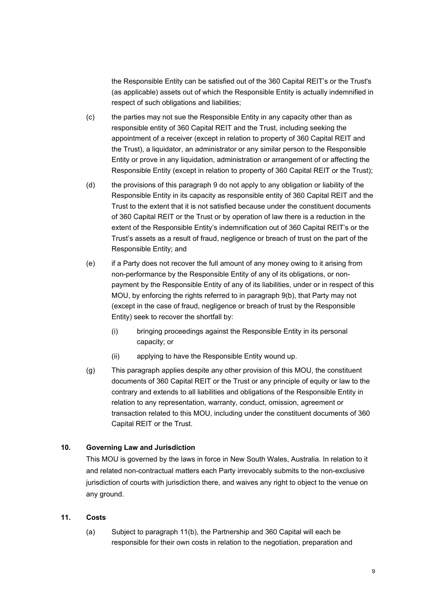the Responsible Entity can be satisfied out of the 360 Capital REIT's or the Trust's (as applicable) assets out of which the Responsible Entity is actually indemnified in respect of such obligations and liabilities;

- (c) the parties may not sue the Responsible Entity in any capacity other than as responsible entity of 360 Capital REIT and the Trust, including seeking the appointment of a receiver (except in relation to property of 360 Capital REIT and the Trust), a liquidator, an administrator or any similar person to the Responsible Entity or prove in any liquidation, administration or arrangement of or affecting the Responsible Entity (except in relation to property of 360 Capital REIT or the Trust);
- (d) the provisions of this paragraph 9 do not apply to any obligation or liability of the Responsible Entity in its capacity as responsible entity of 360 Capital REIT and the Trust to the extent that it is not satisfied because under the constituent documents of 360 Capital REIT or the Trust or by operation of law there is a reduction in the extent of the Responsible Entity's indemnification out of 360 Capital REIT's or the Trust's assets as a result of fraud, negligence or breach of trust on the part of the Responsible Entity; and
- (e) if a Party does not recover the full amount of any money owing to it arising from non-performance by the Responsible Entity of any of its obligations, or nonpayment by the Responsible Entity of any of its liabilities, under or in respect of this MOU, by enforcing the rights referred to in paragraph 9(b), that Party may not (except in the case of fraud, negligence or breach of trust by the Responsible Entity) seek to recover the shortfall by:
	- (i) bringing proceedings against the Responsible Entity in its personal capacity; or
	- (ii) applying to have the Responsible Entity wound up.
- (g) This paragraph applies despite any other provision of this MOU, the constituent documents of 360 Capital REIT or the Trust or any principle of equity or law to the contrary and extends to all liabilities and obligations of the Responsible Entity in relation to any representation, warranty, conduct, omission, agreement or transaction related to this MOU, including under the constituent documents of 360 Capital REIT or the Trust.

### **10. Governing Law and Jurisdiction**

This MOU is governed by the laws in force in New South Wales, Australia. In relation to it and related non-contractual matters each Party irrevocably submits to the non-exclusive jurisdiction of courts with jurisdiction there, and waives any right to object to the venue on any ground.

### **11. Costs**

(a) Subject to paragraph 11(b), the Partnership and 360 Capital will each be responsible for their own costs in relation to the negotiation, preparation and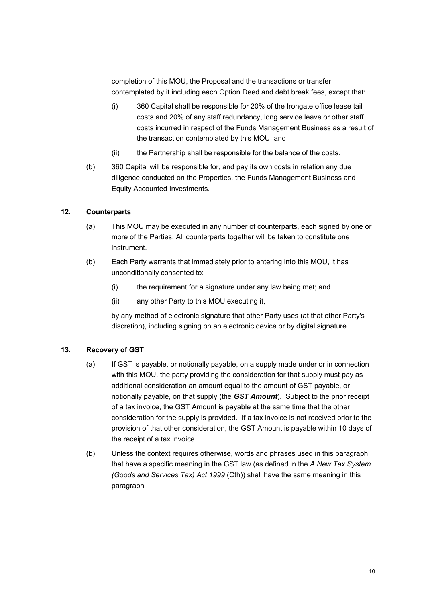completion of this MOU, the Proposal and the transactions or transfer contemplated by it including each Option Deed and debt break fees, except that:

- (i) 360 Capital shall be responsible for 20% of the Irongate office lease tail costs and 20% of any staff redundancy, long service leave or other staff costs incurred in respect of the Funds Management Business as a result of the transaction contemplated by this MOU; and
- (ii) the Partnership shall be responsible for the balance of the costs.
- (b) 360 Capital will be responsible for, and pay its own costs in relation any due diligence conducted on the Properties, the Funds Management Business and Equity Accounted Investments.

### **12. Counterparts**

- (a) This MOU may be executed in any number of counterparts, each signed by one or more of the Parties. All counterparts together will be taken to constitute one instrument.
- (b) Each Party warrants that immediately prior to entering into this MOU, it has unconditionally consented to:
	- (i) the requirement for a signature under any law being met; and
	- (ii) any other Party to this MOU executing it,

by any method of electronic signature that other Party uses (at that other Party's discretion), including signing on an electronic device or by digital signature.

### **13. Recovery of GST**

- (a) If GST is payable, or notionally payable, on a supply made under or in connection with this MOU, the party providing the consideration for that supply must pay as additional consideration an amount equal to the amount of GST payable, or notionally payable, on that supply (the *GST Amount*). Subject to the prior receipt of a tax invoice, the GST Amount is payable at the same time that the other consideration for the supply is provided. If a tax invoice is not received prior to the provision of that other consideration, the GST Amount is payable within 10 days of the receipt of a tax invoice.
- (b) Unless the context requires otherwise, words and phrases used in this paragraph that have a specific meaning in the GST law (as defined in the *A New Tax System (Goods and Services Tax) Act 1999* (Cth)) shall have the same meaning in this paragraph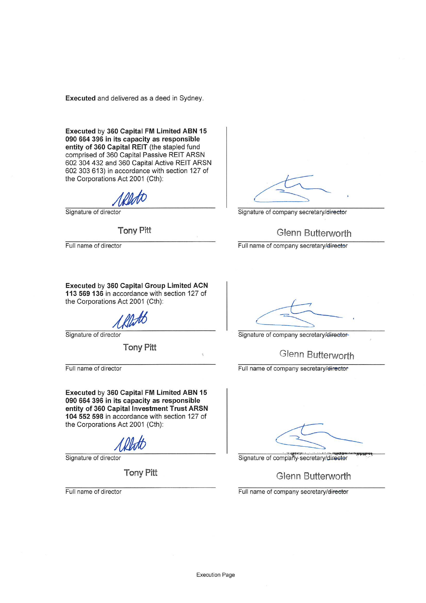Executed and delivered as a deed in Sydney.

Executed by 360 Capital FM Limited ABN 15 090 664 396 in its capacity as responsible entity of 360 Capital REIT (the stapled fund comprised of 360 Capital Passive REIT ARSN 602 304 432 and 360 Capital Active REIT ARSN 602 303 613) in accordance with section 127 of the Corporations Act 2001 (Cth):

Signature of director

**Tony Pitt** 

Full name of director

Signature of company secretary/director

# **Glenn Butterworth**

Full name of company secretary/director

Executed by 360 Capital Group Limited ACN 113 569 136 in accordance with section 127 of the Corporations Act 2001 (Cth):

Signature of director

**Tony Pitt** 

Full name of director

Executed by 360 Capital FM Limited ABN 15 090 664 396 in its capacity as responsible entity of 360 Capital Investment Trust ARSN 104 552 598 in accordance with section 127 of the Corporations Act 2001 (Cth):

Signature of director

**Tony Pitt** 

Full name of director

Signature of company secretary/director-

Glenn Butterworth

Full name of company secretary/director

Signature of company-secretary/director

Glenn Butterworth

Full name of company secretary/director

Ŷ.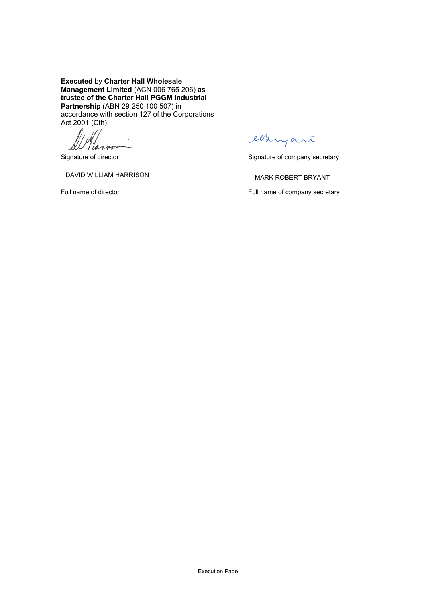**Executed** by **Charter Hall Wholesale Management Limited** (ACN 006 765 206) **as trustee of the Charter Hall PGGM Industrial Partnership** (ABN 29 250 100 507) in accordance with section 127 of the Corporations Act 2001 (Cth):

Marno لا،

DAVID WILLIAM HARRISON **Example 20 YO ANARK ROBERT BRYANT** 

ees  $\alpha$ 

Signature of director Signature of company secretary

Full name of director **Full name of company secretary**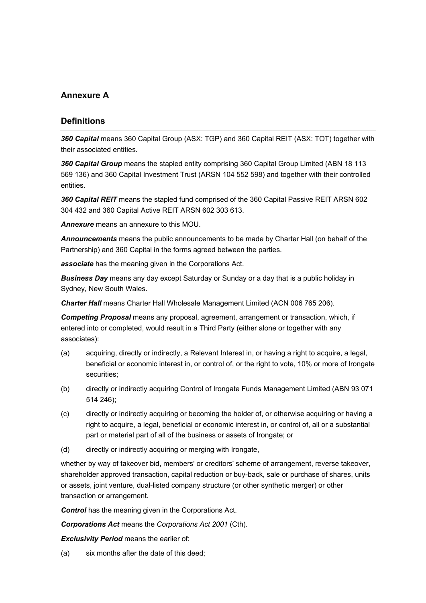# **Annexure A**

# **Definitions**

*360 Capital* means 360 Capital Group (ASX: TGP) and 360 Capital REIT (ASX: TOT) together with their associated entities.

*360 Capital Group* means the stapled entity comprising 360 Capital Group Limited (ABN 18 113 569 136) and 360 Capital Investment Trust (ARSN 104 552 598) and together with their controlled entities.

*360 Capital REIT* means the stapled fund comprised of the 360 Capital Passive REIT ARSN 602 304 432 and 360 Capital Active REIT ARSN 602 303 613.

*Annexure* means an annexure to this MOU.

*Announcements* means the public announcements to be made by Charter Hall (on behalf of the Partnership) and 360 Capital in the forms agreed between the parties.

*associate* has the meaning given in the Corporations Act.

*Business Day* means any day except Saturday or Sunday or a day that is a public holiday in Sydney, New South Wales.

*Charter Hall* means Charter Hall Wholesale Management Limited (ACN 006 765 206).

*Competing Proposal* means any proposal, agreement, arrangement or transaction, which, if entered into or completed, would result in a Third Party (either alone or together with any associates):

- (a) acquiring, directly or indirectly, a Relevant Interest in, or having a right to acquire, a legal, beneficial or economic interest in, or control of, or the right to vote, 10% or more of Irongate securities;
- (b) directly or indirectly acquiring Control of Irongate Funds Management Limited (ABN 93 071 514 246);
- (c) directly or indirectly acquiring or becoming the holder of, or otherwise acquiring or having a right to acquire, a legal, beneficial or economic interest in, or control of, all or a substantial part or material part of all of the business or assets of Irongate; or
- (d) directly or indirectly acquiring or merging with Irongate,

whether by way of takeover bid, members' or creditors' scheme of arrangement, reverse takeover, shareholder approved transaction, capital reduction or buy-back, sale or purchase of shares, units or assets, joint venture, dual-listed company structure (or other synthetic merger) or other transaction or arrangement.

**Control** has the meaning given in the Corporations Act.

*Corporations Act* means the *Corporations Act 2001* (Cth).

*Exclusivity Period* means the earlier of:

(a) six months after the date of this deed;